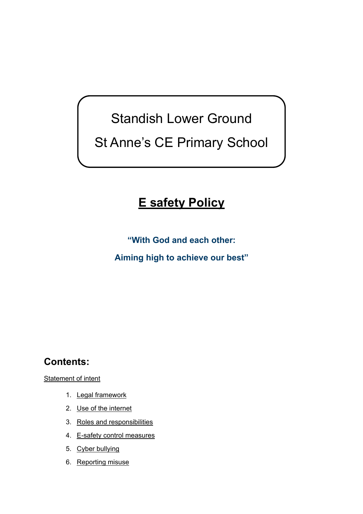# Standish Lower Ground St Anne's CE Primary School

## **E safety Policy**

**"With God and each other:** 

**Aiming high to achieve our best"** 

## **Contents:**

[Statement of intent](#page-1-0)

- 1. [Legal framework](#page-3-0)
- 2. Use of the [internet](#page-4-0)
- 3. Roles and [responsibilities](#page-5-0)
- 4. [E-safety control measures](#page-6-0)
- 5. Cyber [bullying](#page-8-0)
- 6. [Reporting misuse](#page-9-0)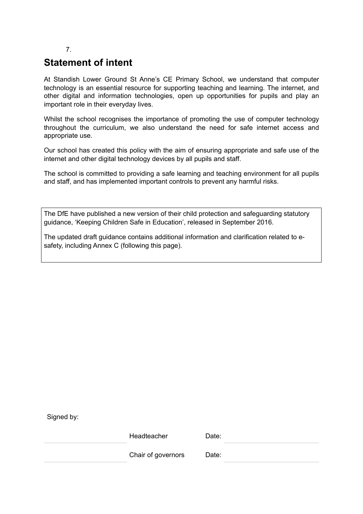#### 7.

### <span id="page-1-0"></span>**Statement of intent**

At Standish Lower Ground St Anne's CE Primary School, we understand that computer technology is an essential resource for supporting teaching and learning. The internet, and other digital and information technologies, open up opportunities for pupils and play an important role in their everyday lives.

Whilst the school recognises the importance of promoting the use of computer technology throughout the curriculum, we also understand the need for safe internet access and appropriate use.

Our school has created this policy with the aim of ensuring appropriate and safe use of the internet and other digital technology devices by all pupils and staff.

The school is committed to providing a safe learning and teaching environment for all pupils and staff, and has implemented important controls to prevent any harmful risks.

The DfE have published a new version of their child protection and safeguarding statutory guidance, 'Keeping Children Safe in Education', released in September 2016.

The updated draft guidance contains additional information and clarification related to esafety, including Annex C (following this page).

Signed by:

Headteacher Date:

Chair of governors Date: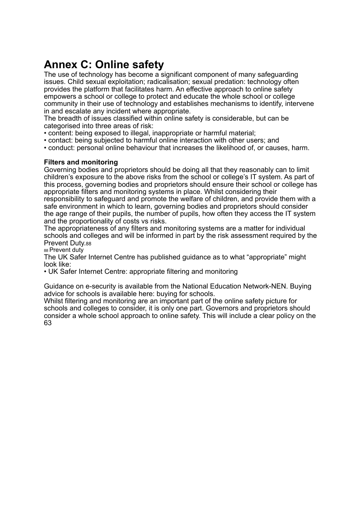## **Annex C: Online safety**

The use of technology has become a significant component of many safeguarding issues. Child sexual exploitation; radicalisation; sexual predation: technology often provides the platform that facilitates harm. An effective approach to online safety empowers a school or college to protect and educate the whole school or college community in their use of technology and establishes mechanisms to identify, intervene in and escalate any incident where appropriate.

The breadth of issues classified within online safety is considerable, but can be categorised into three areas of risk:

- content: being exposed to illegal, inappropriate or harmful material;
- contact: being subjected to harmful online interaction with other users; and

• conduct: personal online behaviour that increases the likelihood of, or causes, harm.

#### **Filters and monitoring**

Governing bodies and proprietors should be doing all that they reasonably can to limit children's exposure to the above risks from the school or college's IT system. As part of this process, governing bodies and proprietors should ensure their school or college has appropriate filters and monitoring systems in place. Whilst considering their responsibility to safeguard and promote the welfare of children, and provide them with a safe environment in which to learn, governing bodies and proprietors should consider the age range of their pupils, the number of pupils, how often they access the IT system and the proportionality of costs vs risks.

The appropriateness of any filters and monitoring systems are a matter for individual schools and colleges and will be informed in part by the risk assessment required by the Prevent Duty.88

88 Prevent duty

The UK Safer Internet Centre has published guidance as to what "appropriate" might look like:

• UK Safer Internet Centre: appropriate filtering and monitoring

Guidance on e-security is available from the National Education Network-NEN. Buying advice for schools is available here: buying for schools.

Whilst filtering and monitoring are an important part of the online safety picture for schools and colleges to consider, it is only one part. Governors and proprietors should consider a whole school approach to online safety. This will include a clear policy on the 63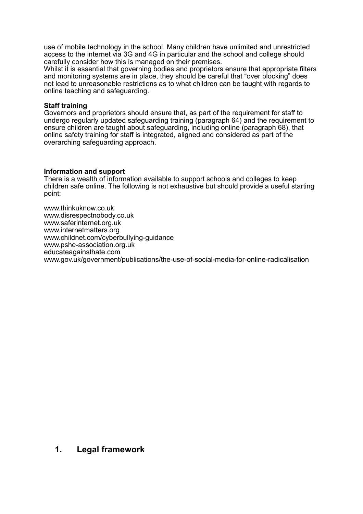use of mobile technology in the school. Many children have unlimited and unrestricted access to the internet via 3G and 4G in particular and the school and college should carefully consider how this is managed on their premises.

Whilst it is essential that governing bodies and proprietors ensure that appropriate filters and monitoring systems are in place, they should be careful that "over blocking" does not lead to unreasonable restrictions as to what children can be taught with regards to online teaching and safeguarding.

#### **Staff training**

Governors and proprietors should ensure that, as part of the requirement for staff to undergo regularly updated safeguarding training (paragraph 64) and the requirement to ensure children are taught about safeguarding, including online (paragraph 68), that online safety training for staff is integrated, aligned and considered as part of the overarching safeguarding approach.

#### **Information and support**

There is a wealth of information available to support schools and colleges to keep children safe online. The following is not exhaustive but should provide a useful starting point:

www.thinkuknow.co.uk www.disrespectnobody.co.uk www.saferinternet.org.uk www.internetmatters.org www.childnet.com/cyberbullying-guidance www.pshe-association.org.uk educateagainsthate.com www.gov.uk/government/publications/the-use-of-social-media-for-online-radicalisation

#### <span id="page-3-0"></span>**1. Legal framework**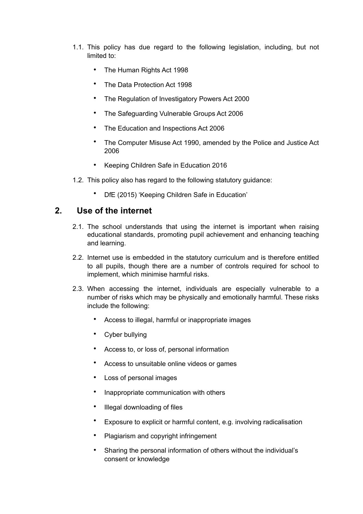- 1.1. This policy has due regard to the following legislation, including, but not limited to:
	- The Human Rights Act 1998
	- The Data Protection Act 1998
	- The Regulation of Investigatory Powers Act 2000
	- The Safeguarding Vulnerable Groups Act 2006
	- The Education and Inspections Act 2006
	- The Computer Misuse Act 1990, amended by the Police and Justice Act 2006
	- Keeping Children Safe in Education 2016
- 1.2. This policy also has regard to the following statutory guidance:
	- DfE (2015) 'Keeping Children Safe in Education'

#### **2. Use of the internet**

- <span id="page-4-0"></span>2.1. The school understands that using the internet is important when raising educational standards, promoting pupil achievement and enhancing teaching and learning.
- 2.2. Internet use is embedded in the statutory curriculum and is therefore entitled to all pupils, though there are a number of controls required for school to implement, which minimise harmful risks.
- 2.3. When accessing the internet, individuals are especially vulnerable to a number of risks which may be physically and emotionally harmful. These risks include the following:
	- Access to illegal, harmful or inappropriate images
	- Cyber bullying
	- Access to, or loss of, personal information
	- Access to unsuitable online videos or games
	- Loss of personal images
	- Inappropriate communication with others
	- Illegal downloading of files
	- Exposure to explicit or harmful content, e.g. involving radicalisation
	- Plagiarism and copyright infringement
	- Sharing the personal information of others without the individual's consent or knowledge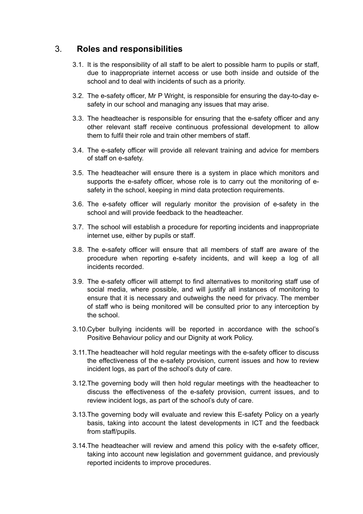#### 3. **Roles and responsibilities**

- <span id="page-5-0"></span>3.1. It is the responsibility of all staff to be alert to possible harm to pupils or staff, due to inappropriate internet access or use both inside and outside of the school and to deal with incidents of such as a priority.
- 3.2. The e-safety officer, Mr P Wright, is responsible for ensuring the day-to-day esafety in our school and managing any issues that may arise.
- 3.3. The headteacher is responsible for ensuring that the e-safety officer and any other relevant staff receive continuous professional development to allow them to fulfil their role and train other members of staff.
- 3.4. The e-safety officer will provide all relevant training and advice for members of staff on e-safety.
- 3.5. The headteacher will ensure there is a system in place which monitors and supports the e-safety officer, whose role is to carry out the monitoring of esafety in the school, keeping in mind data protection requirements.
- 3.6. The e-safety officer will regularly monitor the provision of e-safety in the school and will provide feedback to the headteacher.
- 3.7. The school will establish a procedure for reporting incidents and inappropriate internet use, either by pupils or staff.
- 3.8. The e-safety officer will ensure that all members of staff are aware of the procedure when reporting e-safety incidents, and will keep a log of all incidents recorded.
- 3.9. The e-safety officer will attempt to find alternatives to monitoring staff use of social media, where possible, and will justify all instances of monitoring to ensure that it is necessary and outweighs the need for privacy. The member of staff who is being monitored will be consulted prior to any interception by the school.
- 3.10.Cyber bullying incidents will be reported in accordance with the school's Positive Behaviour policy and our Dignity at work Policy.
- 3.11.The headteacher will hold regular meetings with the e-safety officer to discuss the effectiveness of the e-safety provision, current issues and how to review incident logs, as part of the school's duty of care.
- 3.12.The governing body will then hold regular meetings with the headteacher to discuss the effectiveness of the e-safety provision, current issues, and to review incident logs, as part of the school's duty of care.
- 3.13.The governing body will evaluate and review this E-safety Policy on a yearly basis, taking into account the latest developments in ICT and the feedback from staff/pupils.
- 3.14.The headteacher will review and amend this policy with the e-safety officer, taking into account new legislation and government guidance, and previously reported incidents to improve procedures.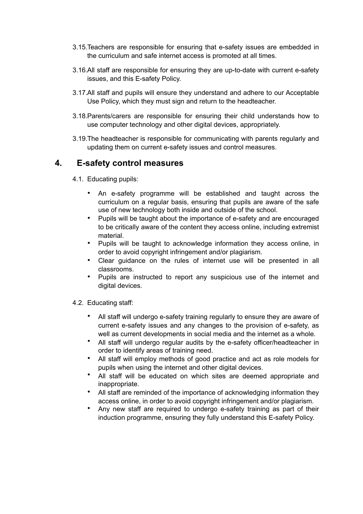- 3.15.Teachers are responsible for ensuring that e-safety issues are embedded in the curriculum and safe internet access is promoted at all times.
- 3.16.All staff are responsible for ensuring they are up-to-date with current e-safety issues, and this E-safety Policy.
- 3.17.All staff and pupils will ensure they understand and adhere to our Acceptable Use Policy, which they must sign and return to the headteacher.
- 3.18.Parents/carers are responsible for ensuring their child understands how to use computer technology and other digital devices, appropriately.
- 3.19.The headteacher is responsible for communicating with parents regularly and updating them on current e-safety issues and control measures.

#### **4. E-safety control measures**

- <span id="page-6-0"></span>4.1. Educating pupils:
	- An e-safety programme will be established and taught across the curriculum on a regular basis, ensuring that pupils are aware of the safe use of new technology both inside and outside of the school.
	- Pupils will be taught about the importance of e-safety and are encouraged to be critically aware of the content they access online, including extremist material.
	- Pupils will be taught to acknowledge information they access online, in order to avoid copyright infringement and/or plagiarism.
	- Clear guidance on the rules of internet use will be presented in all classrooms.
	- Pupils are instructed to report any suspicious use of the internet and digital devices.

#### 4.2. Educating staff:

- All staff will undergo e-safety training regularly to ensure they are aware of current e-safety issues and any changes to the provision of e-safety, as well as current developments in social media and the internet as a whole.
- All staff will undergo regular audits by the e-safety officer/headteacher in order to identify areas of training need.
- All staff will employ methods of good practice and act as role models for pupils when using the internet and other digital devices.
- All staff will be educated on which sites are deemed appropriate and inappropriate.
- All staff are reminded of the importance of acknowledging information they access online, in order to avoid copyright infringement and/or plagiarism.
- Any new staff are required to undergo e-safety training as part of their induction programme, ensuring they fully understand this E-safety Policy.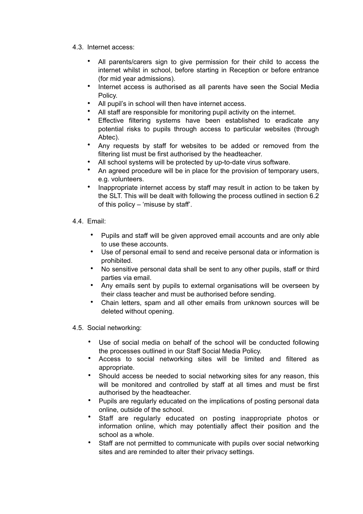- 4.3. Internet access:
	- All parents/carers sign to give permission for their child to access the internet whilst in school, before starting in Reception or before entrance (for mid year admissions).
	- Internet access is authorised as all parents have seen the Social Media Policy.
	- All pupil's in school will then have internet access.
	- All staff are responsible for monitoring pupil activity on the internet.
	- Effective filtering systems have been established to eradicate any potential risks to pupils through access to particular websites (through Abtec).
	- Any requests by staff for websites to be added or removed from the filtering list must be first authorised by the headteacher.
	- All school systems will be protected by up-to-date virus software.
	- An agreed procedure will be in place for the provision of temporary users, e.g. volunteers.
	- Inappropriate internet access by staff may result in action to be taken by the SLT. This will be dealt with following the process outlined in section 6.2 of this policy  $-$  'misuse by staff'.
- 4.4. Email:
	- Pupils and staff will be given approved email accounts and are only able to use these accounts.
	- Use of personal email to send and receive personal data or information is prohibited.
	- No sensitive personal data shall be sent to any other pupils, staff or third parties via email.
	- Any emails sent by pupils to external organisations will be overseen by their class teacher and must be authorised before sending.
	- Chain letters, spam and all other emails from unknown sources will be deleted without opening.

4.5. Social networking:

- Use of social media on behalf of the school will be conducted following the processes outlined in our Staff Social Media Policy.
- Access to social networking sites will be limited and filtered as appropriate.
- Should access be needed to social networking sites for any reason, this will be monitored and controlled by staff at all times and must be first authorised by the headteacher.
- Pupils are regularly educated on the implications of posting personal data online, outside of the school.
- Staff are regularly educated on posting inappropriate photos or information online, which may potentially affect their position and the school as a whole.
- Staff are not permitted to communicate with pupils over social networking sites and are reminded to alter their privacy settings.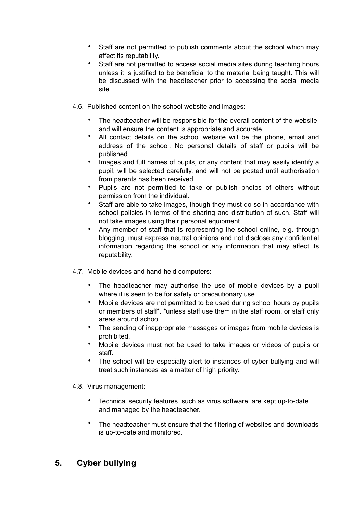- Staff are not permitted to publish comments about the school which may affect its reputability.
- Staff are not permitted to access social media sites during teaching hours unless it is justified to be beneficial to the material being taught. This will be discussed with the headteacher prior to accessing the social media site.
- 4.6. Published content on the school website and images:
	- The headteacher will be responsible for the overall content of the website, and will ensure the content is appropriate and accurate.
	- All contact details on the school website will be the phone, email and address of the school. No personal details of staff or pupils will be published.
	- Images and full names of pupils, or any content that may easily identify a pupil, will be selected carefully, and will not be posted until authorisation from parents has been received.
	- Pupils are not permitted to take or publish photos of others without permission from the individual.
	- Staff are able to take images, though they must do so in accordance with school policies in terms of the sharing and distribution of such. Staff will not take images using their personal equipment.
	- Any member of staff that is representing the school online, e.g. through blogging, must express neutral opinions and not disclose any confidential information regarding the school or any information that may affect its reputability.
- 4.7. Mobile devices and hand-held computers:
	- The headteacher may authorise the use of mobile devices by a pupil where it is seen to be for safety or precautionary use.
	- Mobile devices are not permitted to be used during school hours by pupils or members of staff\*. \*unless staff use them in the staff room, or staff only areas around school.
	- The sending of inappropriate messages or images from mobile devices is prohibited.
	- Mobile devices must not be used to take images or videos of pupils or staff.
	- The school will be especially alert to instances of cyber bullying and will treat such instances as a matter of high priority.
- 4.8. Virus management:
	- Technical security features, such as virus software, are kept up-to-date and managed by the headteacher.
	- The headteacher must ensure that the filtering of websites and downloads is up-to-date and monitored.

#### <span id="page-8-0"></span>**5. Cyber bullying**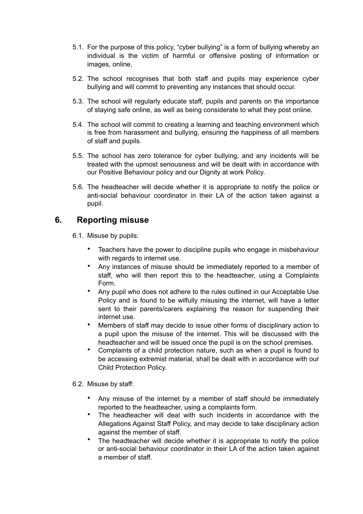- 5.1. For the purpose of this policy, "cyber bullying" is a form of bullying whereby an individual is the victim of harmful or offensive posting of information or images, online.
- 5.2. The school recognises that both staff and pupils may experience cyber bullying and will commit to preventing any instances that should occur.
- 5.3. The school will regularly educate staff, pupils and parents on the importance of staying safe online, as well as being considerate to what they post online.
- 5.4. The school will commit to creating a learning and teaching environment which is free from harassment and bullying, ensuring the happiness of all members of staff and pupils.
- 5.5. The school has zero tolerance for cyber bullying, and any incidents will be treated with the upmost seriousness and will be dealt with in accordance with our Positive Behaviour policy and our Dignity at work Policy.
- 5.6. The headteacher will decide whether it is appropriate to notify the police or anti-social behaviour coordinator in their LA of the action taken against a pupil.

#### **6. Reporting misuse**

<span id="page-9-0"></span>6.1. Misuse by pupils:

- Teachers have the power to discipline pupils who engage in misbehaviour with regards to internet use.
- Any instances of misuse should be immediately reported to a member of staff, who will then report this to the headteacher, using a Complaints Form.
- Any pupil who does not adhere to the rules outlined in our Acceptable Use Policy and is found to be wilfully misusing the internet, will have a letter sent to their parents/carers explaining the reason for suspending their internet use.
- Members of staff may decide to issue other forms of disciplinary action to a pupil upon the misuse of the internet. This will be discussed with the headteacher and will be issued once the pupil is on the school premises.
- Complaints of a child protection nature, such as when a pupil is found to be accessing extremist material, shall be dealt with in accordance with our Child Protection Policy.

#### 6.2. Misuse by staff:

- Any misuse of the internet by a member of staff should be immediately reported to the headteacher, using a complaints form.
- The headteacher will deal with such incidents in accordance with the Allegations Against Staff Policy, and may decide to take disciplinary action against the member of staff.
- The headteacher will decide whether it is appropriate to notify the police or anti-social behaviour coordinator in their LA of the action taken against a member of staff.